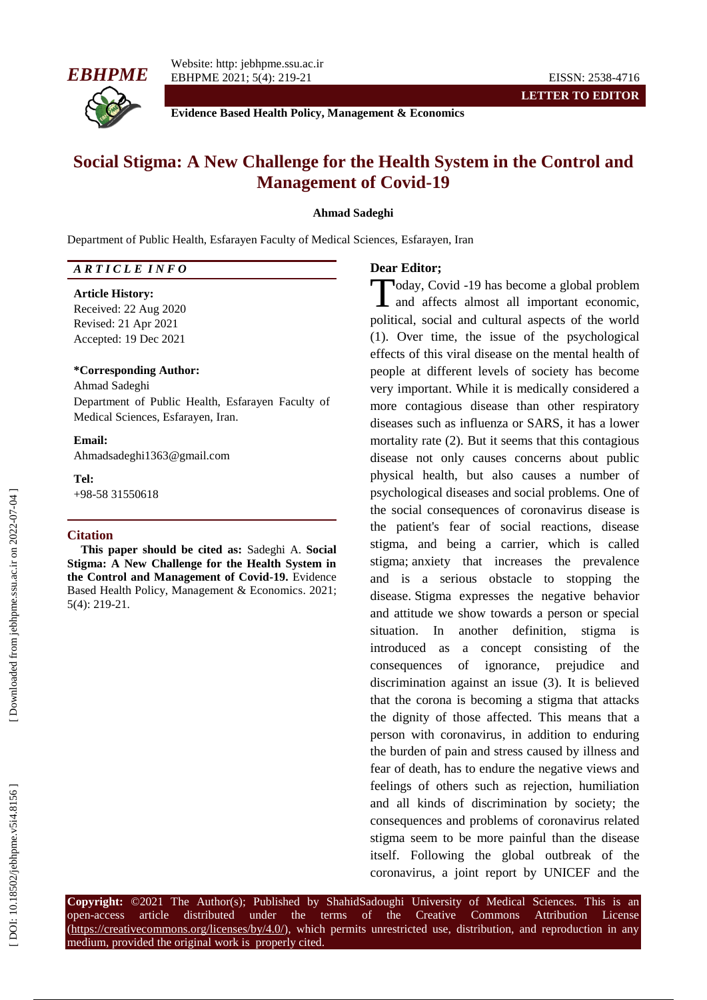



**Evidence Based Health Policy, Management & Economics**

# **Social Stigma : A New Challenge for the Health System in the Control and Management of Covid -19**

## **Ahmad Sadeghi**

Department of Public Health, Esfarayen Faculty of Medical Sciences, Esfarayen, Iran

## *A R T I C L E I N F O*

#### **Article History:**

Received: 22 Aug 2020 Revised: 21 Apr 202 1 Accepted: 19 Dec 202 1

#### **\*Corresponding Author:**

Ahmad Sadeghi Department of Public Health, Esfarayen Faculty of Medical Sciences, Esfarayen, Iran .

**Email:**

Ahmadsadeghi1363@gmail.com

**Tel:** +98 -58 31550618

#### **Citation**

**This paper should be cited as:** Sadeghi A . **Social Stigma: A New Challenge for the Health System in the Control and Management of Covid -19 .** Evidence Based Health Policy, Management & Economics. 202 1; 5(4): 219 -21 .

## **Dear Editor;**

oday, Covid -19 has become a global problem and affects almost all important economic, political, social and cultural aspects of the world (1). Over time, the issue of the psychological effects of this viral disease on the mental health of people at different levels of society has become very important. While it is medically considered a more contagious disease than other respiratory diseases such as influenza or SARS, it has a lower mortality rate (2). But it seems that this contagious disease not only causes concerns about public physical health, but also causes a number of psychological diseases and social problems. One of the social consequences of coronavirus disease is the patient's fear of social reactions, disease stigma, and being a carrier, which is called stigma; anxiety that increases the prevalence and is a serious obstacle to stopping the disease. Stigma expresses the negative behavior and attitude we show towards a person or special situation. In another definition, stigma is introduced as a concept consisting of the consequences of ignorance, prejudice and discrimination against an issue (3). It is believed that the corona is becoming a stigma that attacks the dignity of those affected. This means that a person with coronavirus, in addition to enduring the burden of pain and stress caused by illness and fear of death, has to endure the negative views and feelings of others such as rejection, humiliation and all kinds of discrimination by society; the consequences and problems of coronavirus related stigma seem to be more painful than the disease itself. Following the global outbreak of the Today, Covid -19 has become a global problem<br>
and affects almost all important economic,<br>
political, social and cultural aspects of the world<br>
(1). Over time, the issue of the psychological<br>
effects of this viral disease o

**Copyright:** ©202 1 The Author(s); Published by ShahidSadoughi University of Medical Sciences. This is an open-access -access article distributed under the terms of the Creative Commons Attribution License (https://creativecommons.org/licenses/by/4.0/), which permits unrestricted use, distribution, and reproduction in any medium, provided the original work is properly cited.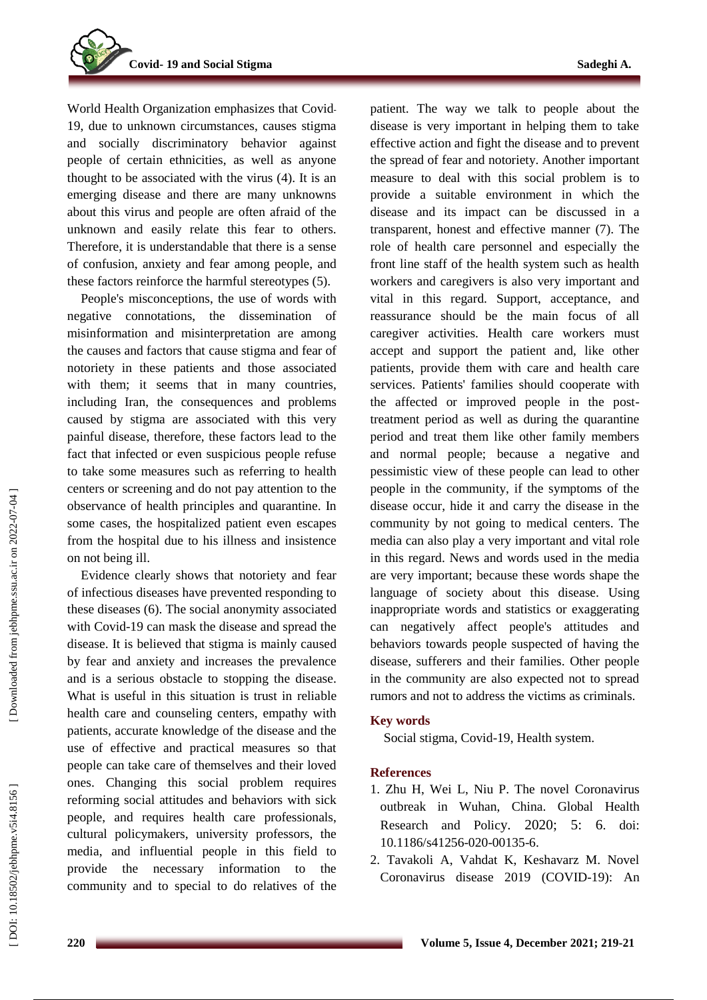World Health Organization emphasizes that Covid - 19, due to unknown circumstances, causes stigma and socially discriminatory behavior against people of certain ethnicities, as well as anyone thought to be associated with the virus (4). It is an emerging disease and there are many unknowns about this virus and people are often afraid of the unknown and easily relate this fear to others. Therefore, it is understandable that there is a sense of confusion, anxiety and fear among people, and these factors reinforce the harmful stereotypes (5).

People's misconceptions, the use of words with negative connotations, the dissemination of misinformation and misinterpretation are among the causes and factors that cause stigma and fear of notoriety in these patients and those associated with them; it seems that in many countries, including Iran, the consequences and problems caused by stigma are associated with this very painful disease, therefore, these factors lead to the fact that infected or even suspicious people refuse to take some measures such as referring to health centers or screening and do not pay attention to the observance of health principles and quarantine. In some cases, the hospitalized patient even escapes from the hospital due to his illness and insistence on not being ill.

Evidence clearly shows that notoriety and fear of infectious diseases have prevented responding to these diseases (6). The social anonymity associated with Covid -19 can mask the disease and spread the disease. It is believed that stigma is mainly caused by fear and anxiety and increases the prevalence and is a serious obstacle to stopping the disease. What is useful in this situation is trust in reliable health care and counseling centers, empathy with patients, accurate knowledge of the disease and the use of effective and practical measures so that people can take care of themselves and their loved ones. Changing this social problem requires reforming social attitudes and behaviors with sick people, and requires health care professionals, cultural policymakers, university professors, the media, and influential people in this field to provide the necessary information to community and to special to do relatives of the patient. The way we talk to people about the disease is very important in helping them to take effective action and fight the disease and to prevent the spread of fear and notoriety. Another important measure to deal with this social problem is to provide a suitable environment in which the disease and its impact can be discussed in a transparent, honest and effective manner (7). The role of health care personnel and especially the front line staff of the health system such as health workers and caregivers is also very important and

vital in this regard. Support, acceptance, and reassurance should be the main focus of all caregiver activities. Health care workers must accept and support the patient and, like other patients, provide them with care and health care services. Patients' families should cooperate with the affected or improved people in the post treatment period as well as during the quarantine period and treat them like other family members and normal people; because a negative and pessimistic view of these people can lead to other people in the community, if the symptoms of the disease occur, hide it and carry the disease in the community by not going to medical centers. The media can also play a very important and vital role in this regard. News and words used in the media are very important; because these words shape the language of society about this disease. Using inappropriate words and statistics or exaggerating can negatively affect people's attitudes and behaviors towards people suspected of having the disease, sufferers and their families. Other people in the community are also expected not to spread rumors and not to address the victims as criminals.

## **Key words**

Social stigma, Covid -19, Health system .

## **References**

- 1. Zhu H, Wei L, Niu P. The novel Coronavirus outbreak in Wuhan, China. Global Health Research and Policy. 2020; 5: 6. doi: 10.1186/s41256-020-00135-6.
- 2. Tavakoli A, Vahdat K, Keshavarz M. Novel Coronavirus disease 2019 (COVID -19): An